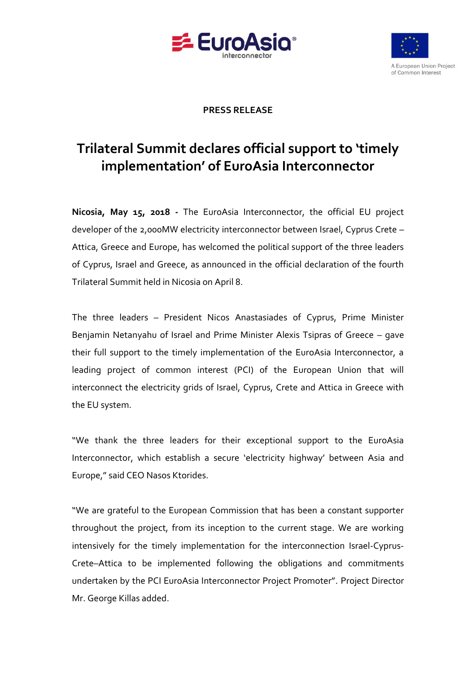



## **PRESS RELEASE**

## **Trilateral Summit declares official support to 'timely implementation' of EuroAsia Interconnector**

**Nicosia, May 15, 2018 -** The EuroAsia Interconnector, the official EU project developer of the 2,000MW electricity interconnector between Israel, Cyprus Crete – Attica, Greece and Europe, has welcomed the political support of the three leaders of Cyprus, Israel and Greece, as announced in the official declaration of the fourth Trilateral Summit held in Nicosia on April 8.

The three leaders – President Nicos Anastasiades of Cyprus, Prime Minister Benjamin Netanyahu of Israel and Prime Minister Alexis Tsipras of Greece – gave their full support to the timely implementation of the EuroAsia Interconnector, a leading project of common interest (PCI) of the European Union that will interconnect the electricity grids of Israel, Cyprus, Crete and Attica in Greece with the EU system.

"We thank the three leaders for their exceptional support to the EuroAsia Interconnector, which establish a secure 'electricity highway' between Asia and Europe," said CEO Nasos Ktorides.

"We are grateful to the European Commission that has been a constant supporter throughout the project, from its inception to the current stage. We are working intensively for the timely implementation for the interconnection Israel-Cyprus-Crete–Attica to be implemented following the obligations and commitments undertaken by the PCI EuroAsia Interconnector Project Promoter". Project Director Mr. George Killas added.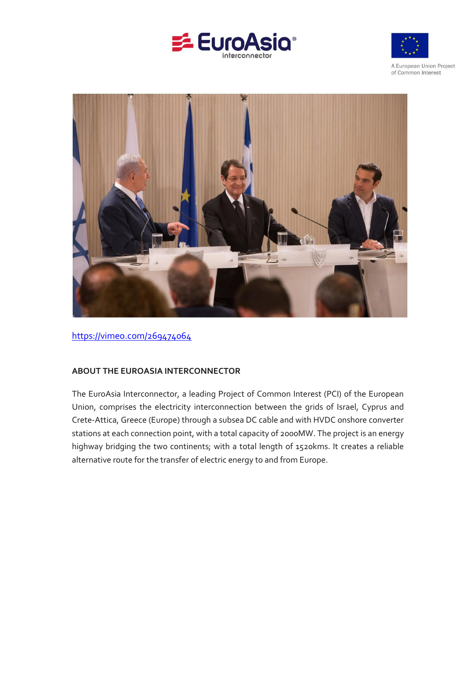





<https://vimeo.com/269474064>

## **ABOUT THE EUROASIA INTERCONNECTOR**

The EuroAsia Interconnector, a leading Project of Common Interest (PCI) of the European Union, comprises the electricity interconnection between the grids of Israel, Cyprus and Crete-Attica, Greece (Europe) through a subsea DC cable and with HVDC onshore converter stations at each connection point, with a total capacity of 2000MW. The project is an energy highway bridging the two continents; with a total length of 1520kms. It creates a reliable alternative route for the transfer of electric energy to and from Europe.